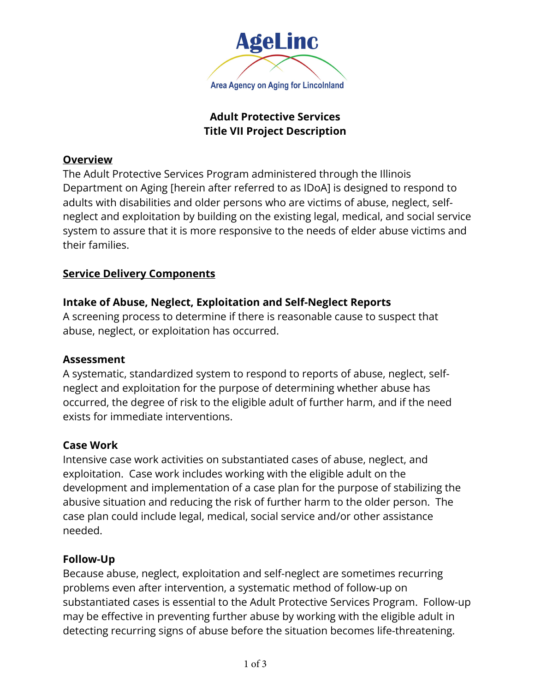

# **Adult Protective Services Title VII Project Description**

#### **Overview**

The Adult Protective Services Program administered through the Illinois Department on Aging [herein after referred to as IDoA] is designed to respond to adults with disabilities and older persons who are victims of abuse, neglect, selfneglect and exploitation by building on the existing legal, medical, and social service system to assure that it is more responsive to the needs of elder abuse victims and their families.

## **Service Delivery Components**

# **Intake of Abuse, Neglect, Exploitation and Self-Neglect Reports**

A screening process to determine if there is reasonable cause to suspect that abuse, neglect, or exploitation has occurred.

## **Assessment**

A systematic, standardized system to respond to reports of abuse, neglect, selfneglect and exploitation for the purpose of determining whether abuse has occurred, the degree of risk to the eligible adult of further harm, and if the need exists for immediate interventions.

## **Case Work**

Intensive case work activities on substantiated cases of abuse, neglect, and exploitation. Case work includes working with the eligible adult on the development and implementation of a case plan for the purpose of stabilizing the abusive situation and reducing the risk of further harm to the older person. The case plan could include legal, medical, social service and/or other assistance needed.

## **Follow-Up**

Because abuse, neglect, exploitation and self-neglect are sometimes recurring problems even after intervention, a systematic method of follow-up on substantiated cases is essential to the Adult Protective Services Program. Follow-up may be effective in preventing further abuse by working with the eligible adult in detecting recurring signs of abuse before the situation becomes life-threatening.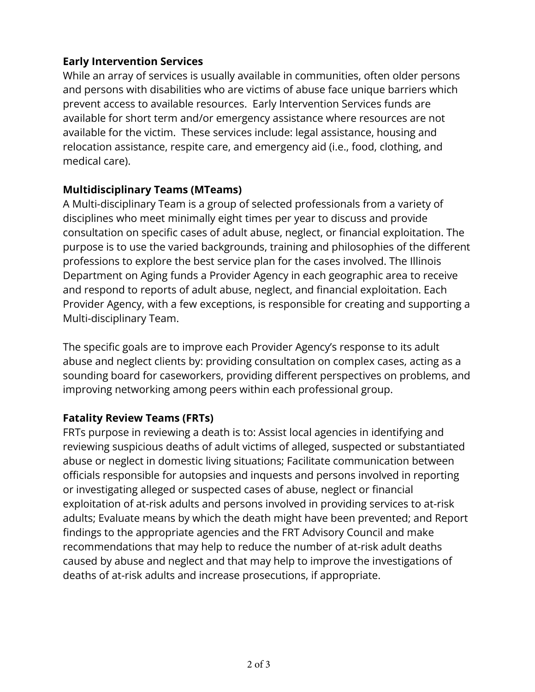# **Early Intervention Services**

While an array of services is usually available in communities, often older persons and persons with disabilities who are victims of abuse face unique barriers which prevent access to available resources. Early Intervention Services funds are available for short term and/or emergency assistance where resources are not available for the victim. These services include: legal assistance, housing and relocation assistance, respite care, and emergency aid (i.e., food, clothing, and medical care).

## **Multidisciplinary Teams (MTeams)**

A Multi-disciplinary Team is a group of selected professionals from a variety of disciplines who meet minimally eight times per year to discuss and provide consultation on specific cases of adult abuse, neglect, or financial exploitation. The purpose is to use the varied backgrounds, training and philosophies of the different professions to explore the best service plan for the cases involved. The Illinois Department on Aging funds a Provider Agency in each geographic area to receive and respond to reports of adult abuse, neglect, and financial exploitation. Each Provider Agency, with a few exceptions, is responsible for creating and supporting a Multi-disciplinary Team.

The specific goals are to improve each Provider Agency's response to its adult abuse and neglect clients by: providing consultation on complex cases, acting as a sounding board for caseworkers, providing different perspectives on problems, and improving networking among peers within each professional group.

## **Fatality Review Teams (FRTs)**

FRTs purpose in reviewing a death is to: Assist local agencies in identifying and reviewing suspicious deaths of adult victims of alleged, suspected or substantiated abuse or neglect in domestic living situations; Facilitate communication between officials responsible for autopsies and inquests and persons involved in reporting or investigating alleged or suspected cases of abuse, neglect or financial exploitation of at-risk adults and persons involved in providing services to at-risk adults; Evaluate means by which the death might have been prevented; and Report findings to the appropriate agencies and the FRT Advisory Council and make recommendations that may help to reduce the number of at-risk adult deaths caused by abuse and neglect and that may help to improve the investigations of deaths of at-risk adults and increase prosecutions, if appropriate.